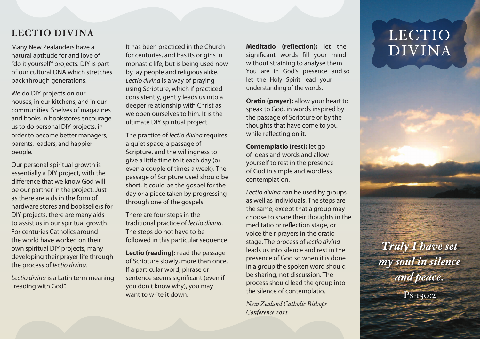## **LECTIO DIVINA**

Many New Zealanders have a natural aptitude for and love of "do it yourself" projects. DIY is part of our cultural DNA which stretches back through generations.

We do DIY projects on our houses, in our kitchens, and in our communities. Shelves of magazines and books in bookstores encourage us to do personal DIY projects, in order to become better managers, parents, leaders, and happier people.

Our personal spiritual growth is essentially a DIY project, with the difference that we know God will be our partner in the project. Just as there are aids in the form of hardware stores and booksellers for DIY projects, there are many aids to assist us in our spiritual growth. For centuries Catholics around the world have worked on their own spiritual DIY projects, many developing their prayer life through the process of *lectio divina*.

*Lectio divina* is a Latin term meaning "reading with God".

It has been practiced in the Church for centuries, and has its origins in monastic life, but is being used now by lay people and religious alike. *Lectio divina* is a way of praying using Scripture, which if practiced consistently, gently leads us into a deeper relationship with Christ as we open ourselves to him. It is the ultimate DIY spiritual project.

The practice of *lectio divina* requires a quiet space, a passage of Scripture, and the willingness to give a little time to it each day (or even a couple of times a week). The passage of Scripture used should be short. It could be the gospel for the day or a piece taken by progressing through one of the gospels.

There are four steps in the traditional practice of *lectio divina*. The steps do not have to be followed in this particular sequence:

**Lectio (reading):** read the passage of Scripture slowly, more than once. If a particular word, phrase or sentence seems significant (even if you don't know why), you may want to write it down.

**Meditatio (reflection):** let the significant words fill your mind without straining to analyse them. You are in God's presence and so let the Holy Spirit lead your understanding of the words.

**Oratio (prayer):** allow your heart to speak to God, in words inspired by the passage of Scripture or by the thoughts that have come to you while reflecting on it.

**Contemplatio (rest):** let go of ideas and words and allow yourself to rest in the presence of God in simple and wordless contemplation.

*Lectio divina* can be used by groups as well as individuals. The steps are the same, except that a group may choose to share their thoughts in the meditatio or reflection stage, or voice their prayers in the oratio stage. The process of *lectio divina* leads us into silence and rest in the presence of God so when it is done in a group the spoken word should be sharing, not discussion. The process should lead the group into the silence of contemplatio.

*New Zealand Catholic Bishops Conference 2011*

## LECTIO DIVINA

*Truly I have set my soul in silence and peace.*  Ps 130:2